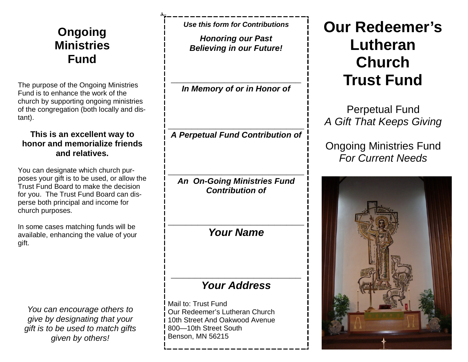# **Ongoing Ministries Fund**

The purpose of the Ongoing Ministries Fund is to enhance the work of the church by supporting ongoing ministries of the congregation (both locally and distant).

#### **This is an excellent way to honor and memorialize friends and relatives.**

You can designate which church purposes your gift is to be used, or allow the Trust Fund Board to make the decision for you. The Trust Fund Board can disperse both principal and income for church purposes.

In some cases matching funds will be available, enhancing the value of your gift.

*You can encourage others to give by designating that your gift is to be used to match gifts given by others!*

*Use this form for Contributions*

*Honoring our Past Believing in our Future!*

**\_\_\_\_\_\_\_\_\_\_\_\_\_\_\_\_\_\_\_\_\_\_** *In Memory of or in Honor of*

**\_\_\_\_\_\_\_\_\_\_\_\_\_\_\_\_\_\_\_\_\_\_\_** *A Perpetual Fund Contribution of*

**\_\_\_\_\_\_\_\_\_\_\_\_\_\_\_\_\_\_\_\_\_\_\_** *An On-Going Ministries Fund Contribution of*

*Your Name*

**\_\_\_\_\_\_\_\_\_\_\_\_\_\_\_\_\_\_\_\_\_\_\_**

### *Your Address*

**\_\_\_\_\_\_\_\_\_\_\_\_\_\_\_\_\_\_\_\_\_\_**

Mail to: Trust Fund Our Redeemer's Lutheran Church 10th Street And Oakwood Avenue 800—10th Street South Benson, MN 56215

# **Our Redeemer's Lutheran Church Trust Fund**

Perpetual Fund *A Gift That Keeps Giving*

Ongoing Ministries Fund *For Current Needs*